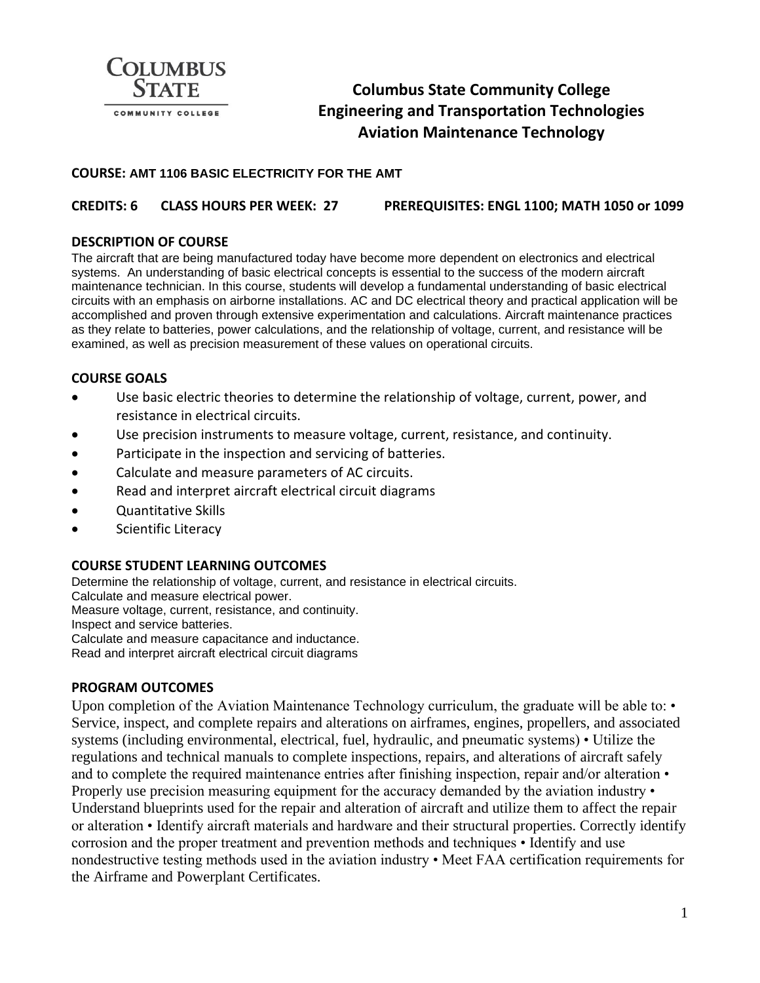

# **Columbus State Community College Engineering and Transportation Technologies Aviation Maintenance Technology**

#### **COURSE: AMT 1106 BASIC ELECTRICITY FOR THE AMT**

#### **CREDITS: 6 CLASS HOURS PER WEEK: 27 PREREQUISITES: ENGL 1100; MATH 1050 or 1099**

#### **DESCRIPTION OF COURSE**

The aircraft that are being manufactured today have become more dependent on electronics and electrical systems. An understanding of basic electrical concepts is essential to the success of the modern aircraft maintenance technician. In this course, students will develop a fundamental understanding of basic electrical circuits with an emphasis on airborne installations. AC and DC electrical theory and practical application will be accomplished and proven through extensive experimentation and calculations. Aircraft maintenance practices as they relate to batteries, power calculations, and the relationship of voltage, current, and resistance will be examined, as well as precision measurement of these values on operational circuits.

#### **COURSE GOALS**

- Use basic electric theories to determine the relationship of voltage, current, power, and resistance in electrical circuits.
- Use precision instruments to measure voltage, current, resistance, and continuity.
- Participate in the inspection and servicing of batteries.
- Calculate and measure parameters of AC circuits.
- Read and interpret aircraft electrical circuit diagrams
- Quantitative Skills
- Scientific Literacy

#### **COURSE STUDENT LEARNING OUTCOMES**

Determine the relationship of voltage, current, and resistance in electrical circuits. Calculate and measure electrical power. Measure voltage, current, resistance, and continuity. Inspect and service batteries. Calculate and measure capacitance and inductance. Read and interpret aircraft electrical circuit diagrams

#### **PROGRAM OUTCOMES**

Upon completion of the Aviation Maintenance Technology curriculum, the graduate will be able to:  $\cdot$ Service, inspect, and complete repairs and alterations on airframes, engines, propellers, and associated systems (including environmental, electrical, fuel, hydraulic, and pneumatic systems) • Utilize the regulations and technical manuals to complete inspections, repairs, and alterations of aircraft safely and to complete the required maintenance entries after finishing inspection, repair and/or alteration • Properly use precision measuring equipment for the accuracy demanded by the aviation industry • Understand blueprints used for the repair and alteration of aircraft and utilize them to affect the repair or alteration • Identify aircraft materials and hardware and their structural properties. Correctly identify corrosion and the proper treatment and prevention methods and techniques • Identify and use nondestructive testing methods used in the aviation industry • Meet FAA certification requirements for the Airframe and Powerplant Certificates.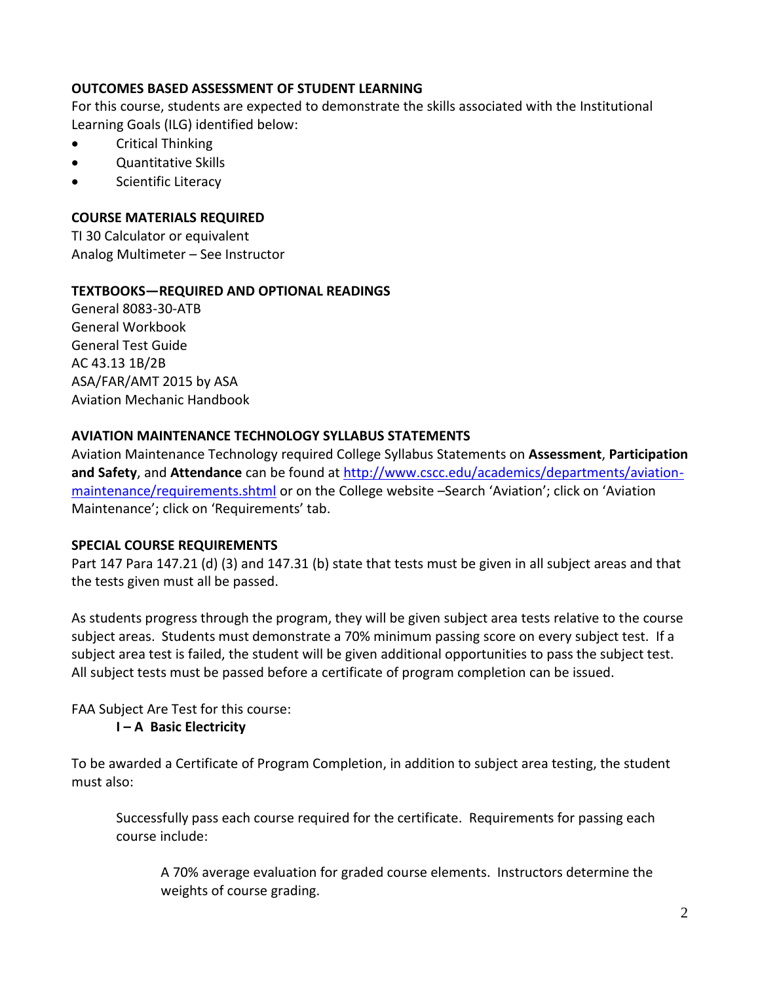### **OUTCOMES BASED ASSESSMENT OF STUDENT LEARNING**

For this course, students are expected to demonstrate the skills associated with the Institutional Learning Goals (ILG) identified below:

- Critical Thinking
- Quantitative Skills
- Scientific Literacy

### **COURSE MATERIALS REQUIRED**

TI 30 Calculator or equivalent Analog Multimeter – See Instructor

### **TEXTBOOKS—REQUIRED AND OPTIONAL READINGS**

General 8083-30-ATB General Workbook General Test Guide AC 43.13 1B/2B ASA/FAR/AMT 2015 by ASA Aviation Mechanic Handbook

### **AVIATION MAINTENANCE TECHNOLOGY SYLLABUS STATEMENTS**

Aviation Maintenance Technology required College Syllabus Statements on **Assessment**, **Participation and Safety**, and **Attendance** can be found a[t http://www.cscc.edu/academics/departments/aviation](http://www.cscc.edu/academics/departments/aviation-maintenance/requirements.shtml)[maintenance/requirements.shtml](http://www.cscc.edu/academics/departments/aviation-maintenance/requirements.shtml) or on the College website –Search 'Aviation'; click on 'Aviation Maintenance'; click on 'Requirements' tab.

### **SPECIAL COURSE REQUIREMENTS**

Part 147 Para 147.21 (d) (3) and 147.31 (b) state that tests must be given in all subject areas and that the tests given must all be passed.

As students progress through the program, they will be given subject area tests relative to the course subject areas. Students must demonstrate a 70% minimum passing score on every subject test. If a subject area test is failed, the student will be given additional opportunities to pass the subject test. All subject tests must be passed before a certificate of program completion can be issued.

## FAA Subject Are Test for this course:

### **I – A Basic Electricity**

To be awarded a Certificate of Program Completion, in addition to subject area testing, the student must also:

Successfully pass each course required for the certificate. Requirements for passing each course include:

A 70% average evaluation for graded course elements. Instructors determine the weights of course grading.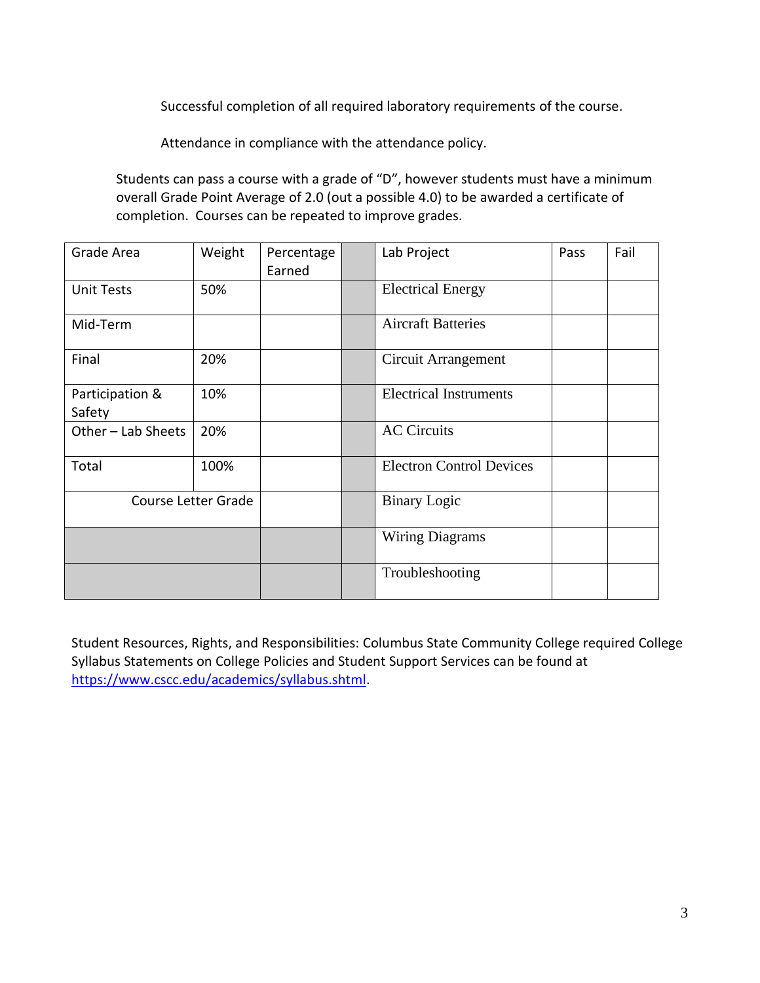Successful completion of all required laboratory requirements of the course.

Attendance in compliance with the attendance policy.

Students can pass a course with a grade of "D", however students must have a minimum overall Grade Point Average of 2.0 (out a possible 4.0) to be awarded a certificate of completion. Courses can be repeated to improve grades.

| Grade Area                | Weight | Percentage<br>Earned | Lab Project                     | Pass | Fail |
|---------------------------|--------|----------------------|---------------------------------|------|------|
| <b>Unit Tests</b>         | 50%    |                      | <b>Electrical Energy</b>        |      |      |
| Mid-Term                  |        |                      | <b>Aircraft Batteries</b>       |      |      |
| Final                     | 20%    |                      | Circuit Arrangement             |      |      |
| Participation &<br>Safety | 10%    |                      | <b>Electrical Instruments</b>   |      |      |
| Other - Lab Sheets        | 20%    |                      | <b>AC Circuits</b>              |      |      |
| Total                     | 100%   |                      | <b>Electron Control Devices</b> |      |      |
| Course Letter Grade       |        |                      | <b>Binary Logic</b>             |      |      |
|                           |        |                      | <b>Wiring Diagrams</b>          |      |      |
|                           |        |                      | Troubleshooting                 |      |      |

Student Resources, Rights, and Responsibilities: Columbus State Community College required College Syllabus Statements on College Policies and Student Support Services can be found at [https://www.cscc.edu/academics/syllabus.shtml.](https://www.cscc.edu/academics/syllabus.shtml)